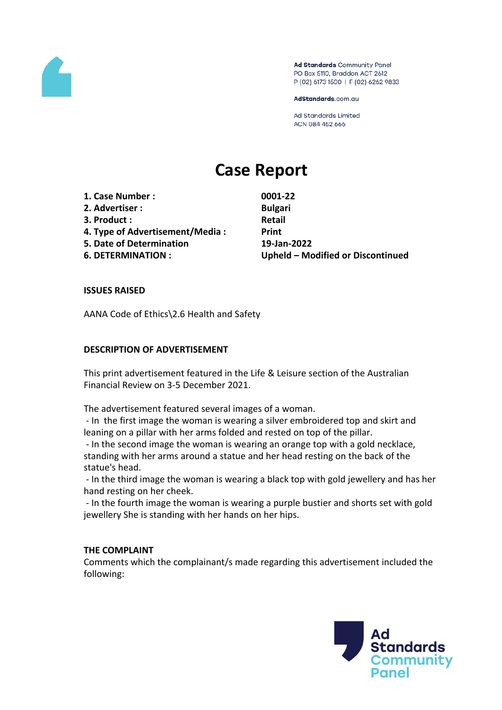

Ad Standards Community Panel PO Box 5110, Braddon ACT 2612 P (02) 6173 1500 | F (02) 6262 9833

AdStandards.com.au

**Ad Standards Limited** ACN 084 452 666

# **Case Report**

**1. Case Number : 0001-22 2. Advertiser : Bulgari**

- 
- **3. Product : Retail**
- **4. Type of Advertisement/Media : Print**
- **5. Date of Determination 19-Jan-2022**

**6. DETERMINATION : Upheld – Modified or Discontinued**

## **ISSUES RAISED**

AANA Code of Ethics\2.6 Health and Safety

#### **DESCRIPTION OF ADVERTISEMENT**

This print advertisement featured in the Life & Leisure section of the Australian Financial Review on 3-5 December 2021.

The advertisement featured several images of a woman.

- In the first image the woman is wearing a silver embroidered top and skirt and leaning on a pillar with her arms folded and rested on top of the pillar.

- In the second image the woman is wearing an orange top with a gold necklace, standing with her arms around a statue and her head resting on the back of the statue's head.

- In the third image the woman is wearing a black top with gold jewellery and has her hand resting on her cheek.

- In the fourth image the woman is wearing a purple bustier and shorts set with gold jewellery She is standing with her hands on her hips.

#### **THE COMPLAINT**

Comments which the complainant/s made regarding this advertisement included the following:

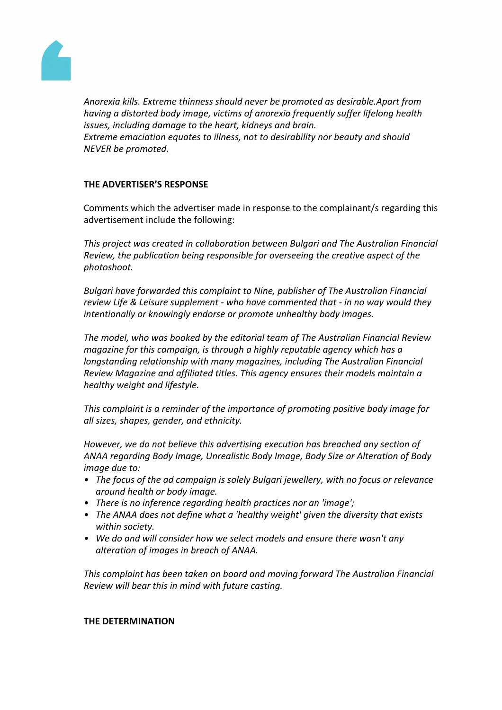

*Anorexia kills. Extreme thinness should never be promoted as desirable.Apart from having a distorted body image, victims of anorexia frequently suffer lifelong health issues, including damage to the heart, kidneys and brain. Extreme emaciation equates to illness, not to desirability nor beauty and should NEVER be promoted.*

## **THE ADVERTISER'S RESPONSE**

Comments which the advertiser made in response to the complainant/s regarding this advertisement include the following:

*This project was created in collaboration between Bulgari and The Australian Financial Review, the publication being responsible for overseeing the creative aspect of the photoshoot.*

*Bulgari have forwarded this complaint to Nine, publisher of The Australian Financial review Life & Leisure supplement - who have commented that - in no way would they intentionally or knowingly endorse or promote unhealthy body images.* 

*The model, who was booked by the editorial team of The Australian Financial Review magazine for this campaign, is through a highly reputable agency which has a longstanding relationship with many magazines, including The Australian Financial Review Magazine and affiliated titles. This agency ensures their models maintain a healthy weight and lifestyle.* 

*This complaint is a reminder of the importance of promoting positive body image for all sizes, shapes, gender, and ethnicity.* 

*However, we do not believe this advertising execution has breached any section of ANAA regarding Body Image, Unrealistic Body Image, Body Size or Alteration of Body image due to:*

- *• The focus of the ad campaign is solely Bulgari jewellery, with no focus or relevance around health or body image.*
- *• There is no inference regarding health practices nor an 'image';*
- *• The ANAA does not define what a 'healthy weight' given the diversity that exists within society.*
- *• We do and will consider how we select models and ensure there wasn't any alteration of images in breach of ANAA.*

*This complaint has been taken on board and moving forward The Australian Financial Review will bear this in mind with future casting.* 

#### **THE DETERMINATION**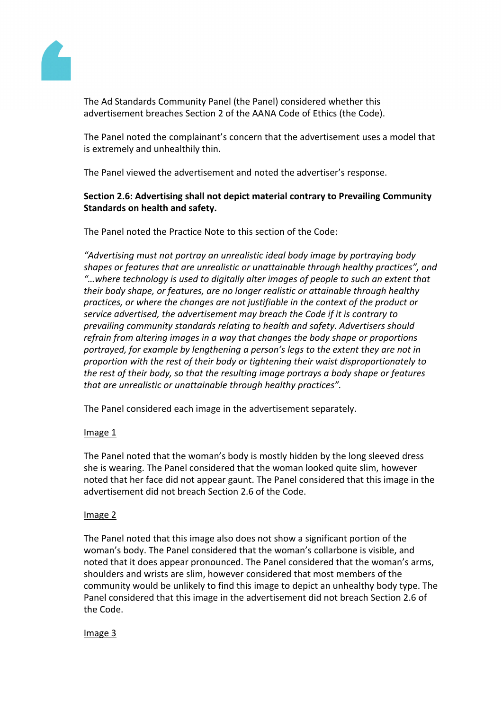

The Ad Standards Community Panel (the Panel) considered whether this advertisement breaches Section 2 of the AANA Code of Ethics (the Code).

The Panel noted the complainant's concern that the advertisement uses a model that is extremely and unhealthily thin.

The Panel viewed the advertisement and noted the advertiser's response.

# **Section 2.6: Advertising shall not depict material contrary to Prevailing Community Standards on health and safety.**

The Panel noted the Practice Note to this section of the Code:

*"Advertising must not portray an unrealistic ideal body image by portraying body shapes or features that are unrealistic or unattainable through healthy practices", and "…where technology is used to digitally alter images of people to such an extent that their body shape, or features, are no longer realistic or attainable through healthy practices, or where the changes are not justifiable in the context of the product or service advertised, the advertisement may breach the Code if it is contrary to prevailing community standards relating to health and safety. Advertisers should refrain from altering images in a way that changes the body shape or proportions portrayed, for example by lengthening a person's legs to the extent they are not in proportion with the rest of their body or tightening their waist disproportionately to the rest of their body, so that the resulting image portrays a body shape or features that are unrealistic or unattainable through healthy practices".*

The Panel considered each image in the advertisement separately.

## Image 1

The Panel noted that the woman's body is mostly hidden by the long sleeved dress she is wearing. The Panel considered that the woman looked quite slim, however noted that her face did not appear gaunt. The Panel considered that this image in the advertisement did not breach Section 2.6 of the Code.

# Image 2

The Panel noted that this image also does not show a significant portion of the woman's body. The Panel considered that the woman's collarbone is visible, and noted that it does appear pronounced. The Panel considered that the woman's arms, shoulders and wrists are slim, however considered that most members of the community would be unlikely to find this image to depict an unhealthy body type. The Panel considered that this image in the advertisement did not breach Section 2.6 of the Code.

## Image 3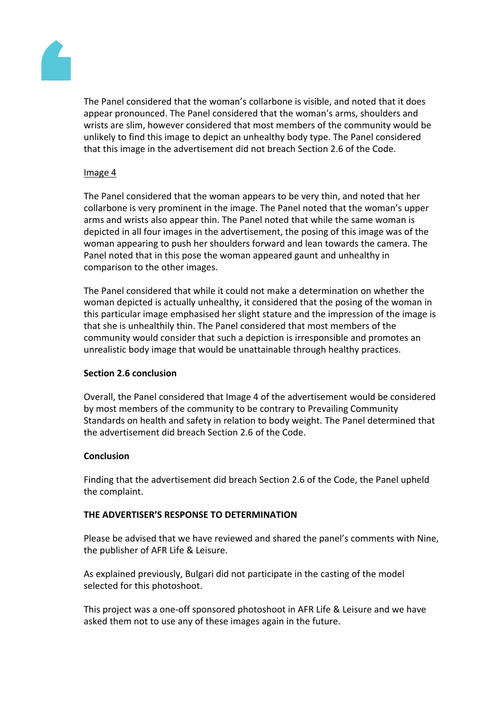

The Panel considered that the woman's collarbone is visible, and noted that it does appear pronounced. The Panel considered that the woman's arms, shoulders and wrists are slim, however considered that most members of the community would be unlikely to find this image to depict an unhealthy body type. The Panel considered that this image in the advertisement did not breach Section 2.6 of the Code.

## Image 4

The Panel considered that the woman appears to be very thin, and noted that her collarbone is very prominent in the image. The Panel noted that the woman's upper arms and wrists also appear thin. The Panel noted that while the same woman is depicted in all four images in the advertisement, the posing of this image was of the woman appearing to push her shoulders forward and lean towards the camera. The Panel noted that in this pose the woman appeared gaunt and unhealthy in comparison to the other images.

The Panel considered that while it could not make a determination on whether the woman depicted is actually unhealthy, it considered that the posing of the woman in this particular image emphasised her slight stature and the impression of the image is that she is unhealthily thin. The Panel considered that most members of the community would consider that such a depiction is irresponsible and promotes an unrealistic body image that would be unattainable through healthy practices.

## **Section 2.6 conclusion**

Overall, the Panel considered that Image 4 of the advertisement would be considered by most members of the community to be contrary to Prevailing Community Standards on health and safety in relation to body weight. The Panel determined that the advertisement did breach Section 2.6 of the Code.

## **Conclusion**

Finding that the advertisement did breach Section 2.6 of the Code, the Panel upheld the complaint.

## **THE ADVERTISER'S RESPONSE TO DETERMINATION**

Please be advised that we have reviewed and shared the panel's comments with Nine, the publisher of AFR Life & Leisure.

As explained previously, Bulgari did not participate in the casting of the model selected for this photoshoot.

This project was a one-off sponsored photoshoot in AFR Life & Leisure and we have asked them not to use any of these images again in the future.